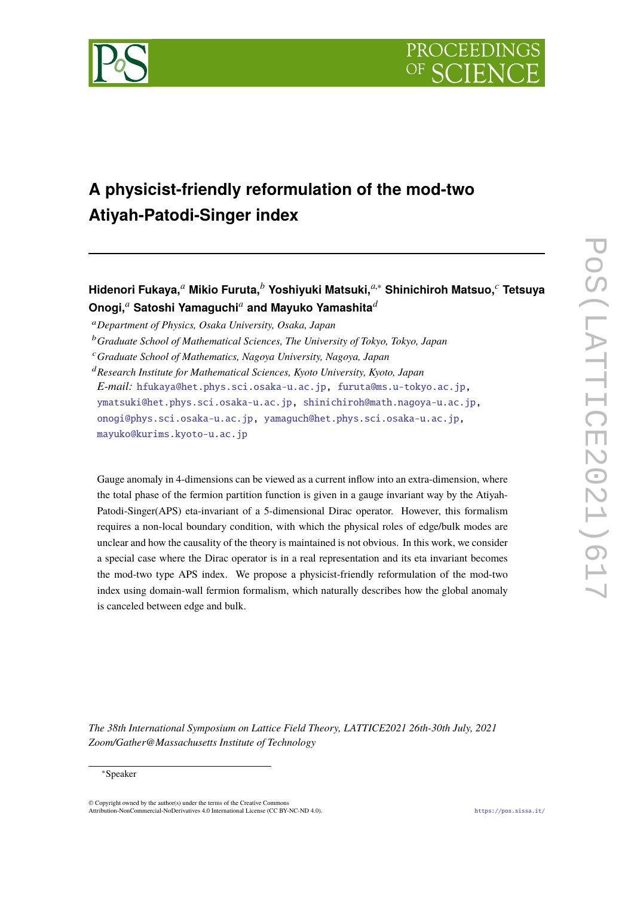



# **A physicist-friendly reformulation of the mod-two Atiyah-Patodi-Singer index**

## **Hidenori Fukaya,***<sup>a</sup>* **Mikio Furuta,***<sup>b</sup>* **Yoshiyuki Matsuki,***a*,<sup>∗</sup> **Shinichiroh Matsuo,***<sup>c</sup>* **Tetsuya Onogi,***<sup>a</sup>* **Satoshi Yamaguchi***<sup>a</sup>* **and Mayuko Yamashita***<sup>d</sup>*

<sup>a</sup>*Department of Physics, Osaka University, Osaka, Japan*

Gauge anomaly in 4-dimensions can be viewed as a current inflow into an extra-dimension, where the total phase of the fermion partition function is given in a gauge invariant way by the Atiyah-Patodi-Singer(APS) eta-invariant of a 5-dimensional Dirac operator. However, this formalism requires a non-local boundary condition, with which the physical roles of edge/bulk modes are unclear and how the causality of the theory is maintained is not obvious. In this work, we consider a special case where the Dirac operator is in a real representation and its eta invariant becomes the mod-two type APS index. We propose a physicist-friendly reformulation of the mod-two index using domain-wall fermion formalism, which naturally describes how the global anomaly is canceled between edge and bulk.

*The 38th International Symposium on Lattice Field Theory, LATTICE2021 26th-30th July, 2021 Zoom/Gather@Massachusetts Institute of Technology*

#### <sup>∗</sup>Speaker

 $\odot$  Copyright owned by the author(s) under the terms of the Creative Common Attribution-NonCommercial-NoDerivatives 4.0 International License (CC BY-NC-ND 4.0). https://pos.sissa.it/

<sup>b</sup>*Graduate School of Mathematical Sciences, The University of Tokyo, Tokyo, Japan*

<sup>c</sup>*Graduate School of Mathematics, Nagoya University, Nagoya, Japan*

<sup>d</sup>*Research Institute for Mathematical Sciences, Kyoto University, Kyoto, Japan E-mail:* hfukaya@het.phys.sci.osaka-u.ac.jp, furuta@ms.u-tokyo.ac.jp, ymatsuki@het.phys.sci.osaka-u.ac.jp, shinichiroh@math.nagoya-u.ac.jp, onogi@phys.sci.osaka-u.ac.jp, yamaguch@het.phys.sci.osaka-u.ac.jp, mayuko@kurims.kyoto-u.ac.jp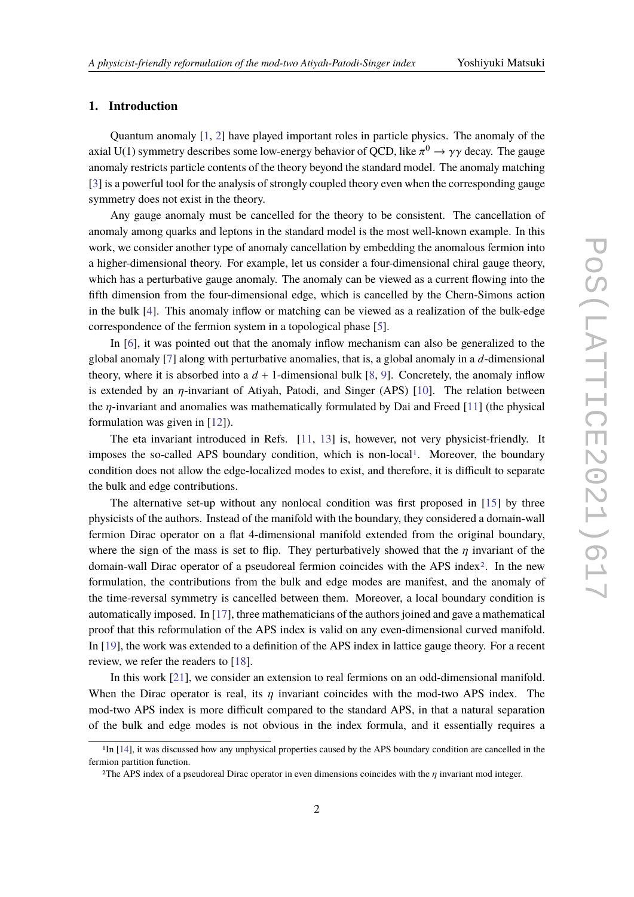### **1. Introduction**

Quantum anomaly [1, 2] have played important roles in particle physics. The anomaly of the axial U(1) symmetry describes some low-energy behavior of QCD, like  $\pi^0\to\gamma\gamma$  decay. The gauge anomaly restricts particle contents of the theory beyond the standard model. The anomaly matching [3] is a powerful tool for the analysis of strongly coupled theory even when the corresponding gauge symmetry does not exist in the theory.

Any gauge anomaly must be cancelled for the theory to be consistent. The cancellation of anomaly among quarks and leptons in the standard model is the most well-known example. In this work, we consider another type of anomaly cancellation by embedding the anomalous fermion into a higher-dimensional theory. For example, let us consider a four-dimensional chiral gauge theory, which has a perturbative gauge anomaly. The anomaly can be viewed as a current flowing into the fifth dimension from the four-dimensional edge, which is cancelled by the Chern-Simons action in the bulk [4]. This anomaly inflow or matching can be viewed as a realization of the bulk-edge correspondence of the fermion system in a topological phase [5].

In [6], it was pointed out that the anomaly inflow mechanism can also be generalized to the global anomaly [7] along with perturbative anomalies, that is, a global anomaly in a *d*-dimensional theory, where it is absorbed into a  $d + 1$ -dimensional bulk [8, 9]. Concretely, the anomaly inflow is extended by an  $\eta$ -invariant of Atiyah, Patodi, and Singer (APS) [10]. The relation between the η-invariant and anomalies was mathematically formulated by Dai and Freed [11] (the physical formulation was given in [12]).

The eta invariant introduced in Refs. [11, 13] is, however, not very physicist-friendly. It imposes the so-called APS boundary condition, which is non-local<sup>1</sup>. Moreover, the boundary condition does not allow the edge-localized modes to exist, and therefore, it is difficult to separate the bulk and edge contributions.

The alternative set-up without any nonlocal condition was first proposed in [15] by three physicists of the authors. Instead of the manifold with the boundary, they considered a domain-wall fermion Dirac operator on a flat 4-dimensional manifold extended from the original boundary, where the sign of the mass is set to flip. They perturbatively showed that the  $\eta$  invariant of the domain-wall Dirac operator of a pseudoreal fermion coincides with the APS index<sup>2</sup>. In the new formulation, the contributions from the bulk and edge modes are manifest, and the anomaly of the time-reversal symmetry is cancelled between them. Moreover, a local boundary condition is automatically imposed. In [17], three mathematicians of the authors joined and gave a mathematical proof that this reformulation of the APS index is valid on any even-dimensional curved manifold. In [19], the work was extended to a definition of the APS index in lattice gauge theory. For a recent review, we refer the readers to [18].

In this work [21], we consider an extension to real fermions on an odd-dimensional manifold. When the Dirac operator is real, its  $\eta$  invariant coincides with the mod-two APS index. The mod-two APS index is more difficult compared to the standard APS, in that a natural separation of the bulk and edge modes is not obvious in the index formula, and it essentially requires a

<sup>1</sup>In [14], it was discussed how any unphysical properties caused by the APS boundary condition are cancelled in the fermion partition function.

<sup>&</sup>lt;sup>2</sup>The APS index of a pseudoreal Dirac operator in even dimensions coincides with the  $\eta$  invariant mod integer.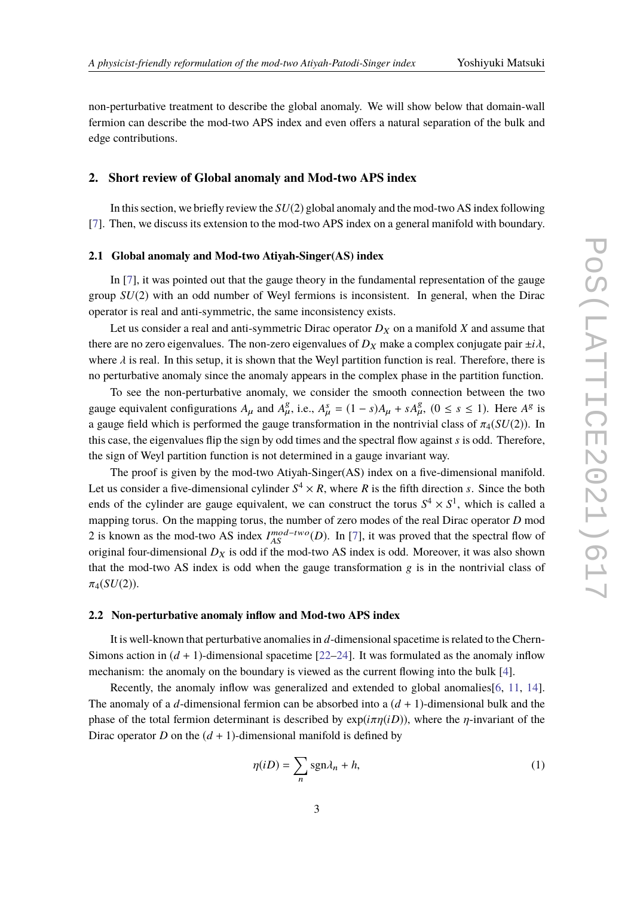non-perturbative treatment to describe the global anomaly. We will show below that domain-wall fermion can describe the mod-two APS index and even offers a natural separation of the bulk and edge contributions.

#### **2. Short review of Global anomaly and Mod-two APS index**

In this section, we briefly review the *SU*(2) global anomaly and the mod-two AS index following [7]. Then, we discuss its extension to the mod-two APS index on a general manifold with boundary.

#### **2.1 Global anomaly and Mod-two Atiyah-Singer(AS) index**

In [7], it was pointed out that the gauge theory in the fundamental representation of the gauge group *SU*(2) with an odd number of Weyl fermions is inconsistent. In general, when the Dirac operator is real and anti-symmetric, the same inconsistency exists.

Let us consider a real and anti-symmetric Dirac operator  $D_X$  on a manifold *X* and assume that there are no zero eigenvalues. The non-zero eigenvalues of  $D_X$  make a complex conjugate pair  $\pm i\lambda$ , where  $\lambda$  is real. In this setup, it is shown that the Weyl partition function is real. Therefore, there is no perturbative anomaly since the anomaly appears in the complex phase in the partition function.

To see the non-perturbative anomaly, we consider the smooth connection between the two gauge equivalent configurations  $A_{\mu}$  and  $A_{\mu}^{g}$ , i.e.,  $A_{\mu}^{s} = (1 - s)A_{\mu} + sA_{\mu}^{g}$ ,  $(0 \le s \le 1)$ . Here  $A^{g}$  is a gauge field which is performed the gauge transformation in the nontrivial class of  $\pi_4(SU(2))$ . In this case, the eigenvalues flip the sign by odd times and the spectral flow against *s* is odd. Therefore, the sign of Weyl partition function is not determined in a gauge invariant way.

The proof is given by the mod-two Atiyah-Singer(AS) index on a five-dimensional manifold. Let us consider a five-dimensional cylinder  $S^4 \times R$ , where R is the fifth direction *s*. Since the both ends of the cylinder are gauge equivalent, we can construct the torus  $S^4 \times S^1$ , which is called a mapping torus. On the mapping torus, the number of zero modes of the real Dirac operator *D* mod 2 is known as the mod-two AS index  $I_{AS}^{mod-two}(D)$ . In [7], it was proved that the spectral flow of original four-dimensional  $D_X$  is odd if the mod-two AS index is odd. Moreover, it was also shown that the mod-two AS index is odd when the gauge transformation  $g$  is in the nontrivial class of  $\pi_4(SU(2))$ .

#### **2.2 Non-perturbative anomaly inflow and Mod-two APS index**

It is well-known that perturbative anomalies in *d*-dimensional spacetime is related to the Chern-Simons action in  $(d + 1)$ -dimensional spacetime  $[22-24]$ . It was formulated as the anomaly inflow mechanism: the anomaly on the boundary is viewed as the current flowing into the bulk [4].

Recently, the anomaly inflow was generalized and extended to global anomalies[6, 11, 14]. The anomaly of a *d*-dimensional fermion can be absorbed into a (*d* + 1)-dimensional bulk and the phase of the total fermion determinant is described by  $exp(i\pi\eta(iD))$ , where the *n*-invariant of the Dirac operator *D* on the  $(d + 1)$ -dimensional manifold is defined by

$$
\eta(iD) = \sum_{n} sgn\lambda_n + h,\tag{1}
$$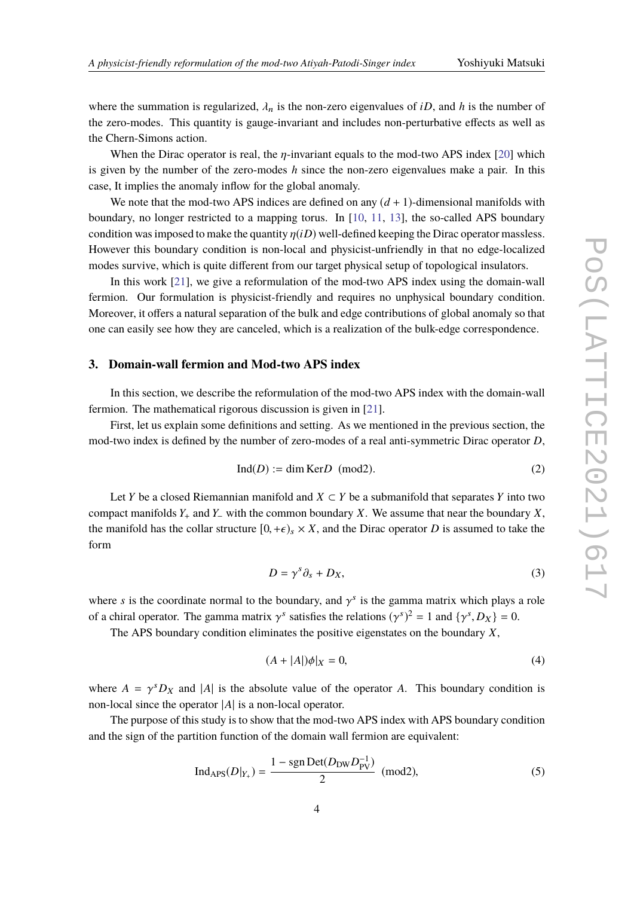where the summation is regularized,  $\lambda_n$  is the non-zero eigenvalues of *iD*, and *h* is the number of the zero-modes. This quantity is gauge-invariant and includes non-perturbative effects as well as the Chern-Simons action.

When the Dirac operator is real, the  $\eta$ -invariant equals to the mod-two APS index [20] which is given by the number of the zero-modes *h* since the non-zero eigenvalues make a pair. In this case, It implies the anomaly inflow for the global anomaly.

We note that the mod-two APS indices are defined on any  $(d + 1)$ -dimensional manifolds with boundary, no longer restricted to a mapping torus. In  $[10, 11, 13]$ , the so-called APS boundary condition was imposed to make the quantity  $\eta(iD)$  well-defined keeping the Dirac operator massless. However this boundary condition is non-local and physicist-unfriendly in that no edge-localized modes survive, which is quite different from our target physical setup of topological insulators.

In this work [21], we give a reformulation of the mod-two APS index using the domain-wall fermion. Our formulation is physicist-friendly and requires no unphysical boundary condition. Moreover, it offers a natural separation of the bulk and edge contributions of global anomaly so that one can easily see how they are canceled, which is a realization of the bulk-edge correspondence.

#### **3. Domain-wall fermion and Mod-two APS index**

In this section, we describe the reformulation of the mod-two APS index with the domain-wall fermion. The mathematical rigorous discussion is given in [21].

First, let us explain some definitions and setting. As we mentioned in the previous section, the mod-two index is defined by the number of zero-modes of a real anti-symmetric Dirac operator *D*,

$$
Ind(D) := \dim \text{Ker} D \pmod{2}.
$$
 (2)

Let *Y* be a closed Riemannian manifold and  $X \subset Y$  be a submanifold that separates *Y* into two compact manifolds *Y*<sup>+</sup> and *Y*<sup>−</sup> with the common boundary *X*. We assume that near the boundary *X*, the manifold has the collar structure  $[0, +\epsilon)_s \times X$ , and the Dirac operator *D* is assumed to take the form

$$
D = \gamma^s \partial_s + D_X,\tag{3}
$$

where *s* is the coordinate normal to the boundary, and  $\gamma^s$  is the gamma matrix which plays a role of a chiral operator. The gamma matrix  $\gamma^s$  satisfies the relations  $(\gamma^s)^2 = 1$  and  $\{\gamma^s, D_X\} = 0$ .

The APS boundary condition eliminates the positive eigenstates on the boundary *X*,

$$
(A + |A|)\phi|_X = 0,\t\t(4)
$$

where  $A = \gamma^{s} D_X$  and |*A*| is the absolute value of the operator *A*. This boundary condition is non-local since the operator |*A*| is a non-local operator.

The purpose of this study is to show that the mod-two APS index with APS boundary condition and the sign of the partition function of the domain wall fermion are equivalent:

$$
Ind_{APS}(D|_{Y_+}) = \frac{1 - sgn Det(D_{DW}D_{PV}^{-1})}{2} \pmod{2},
$$
\n(5)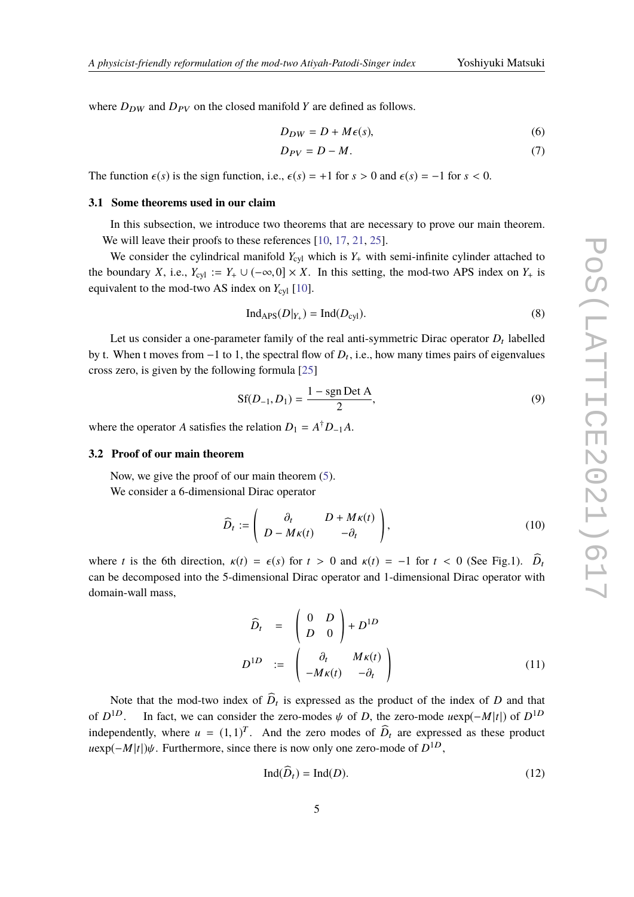where  $D_{DW}$  and  $D_{PV}$  on the closed manifold *Y* are defined as follows.

$$
D_{DW} = D + M\epsilon(s),\tag{6}
$$

$$
D_{PV} = D - M. \tag{7}
$$

The function  $\epsilon(s)$  is the sign function, i.e.,  $\epsilon(s) = +1$  for  $s > 0$  and  $\epsilon(s) = -1$  for  $s < 0$ .

#### **3.1 Some theorems used in our claim**

In this subsection, we introduce two theorems that are necessary to prove our main theorem. We will leave their proofs to these references [10, 17, 21, 25].

We consider the cylindrical manifold  $Y_{\text{cyl}}$  which is  $Y_+$  with semi-infinite cylinder attached to the boundary *X*, i.e.,  $Y_{cyl} := Y_+ \cup (-\infty, 0] \times X$ . In this setting, the mod-two APS index on  $Y_+$  is equivalent to the mod-two AS index on  $Y_{\text{cyl}}$  [10].

$$
Ind_{APS}(D|_{Y_+}) = Ind(D_{cyl}).
$$
\n(8)

Let us consider a one-parameter family of the real anti-symmetric Dirac operator  $D_t$  labelled by t. When t moves from  $-1$  to 1, the spectral flow of  $D_t$ , i.e., how many times pairs of eigenvalues cross zero, is given by the following formula [25]

$$
Sf(D_{-1}, D_1) = \frac{1 - sgn Det A}{2},
$$
\n(9)

where the operator *A* satisfies the relation  $D_1 = A^{\dagger} D_{-1} A$ .

#### **3.2 Proof of our main theorem**

Now, we give the proof of our main theorem (5). We consider a 6-dimensional Dirac operator

$$
\widehat{D}_t := \begin{pmatrix} \partial_t & D + M\kappa(t) \\ D - M\kappa(t) & -\partial_t \end{pmatrix},\tag{10}
$$

where *t* is the 6th direction,  $\kappa(t) = \epsilon(s)$  for  $t > 0$  and  $\kappa(t) = -1$  for  $t < 0$  (See Fig.1).  $\widehat{D}_t$ can be decomposed into the 5-dimensional Dirac operator and 1-dimensional Dirac operator with domain-wall mass,

$$
\widehat{D}_t = \begin{pmatrix} 0 & D \\ D & 0 \end{pmatrix} + D^{1D}
$$

$$
D^{1D} := \begin{pmatrix} \partial_t & M\kappa(t) \\ -M\kappa(t) & -\partial_t \end{pmatrix}
$$
(11)

Note that the mod-two index of  $D_t$  is expressed as the product of the index of  $D$  and that of  $D^{1D}$ . In fact, we can consider the zero-modes  $\psi$  of *D*, the zero-mode  $u \exp(-M|t|)$  of  $D^{1D}$ independently, where  $u = (1, 1)^T$ . And the zero modes of  $\hat{D}_t$  are expressed as these product  $u \exp(-M|t|) \psi$ . Furthermore, since there is now only one zero-mode of  $D^{1D}$ ,

$$
\text{Ind}(D_t) = \text{Ind}(D). \tag{12}
$$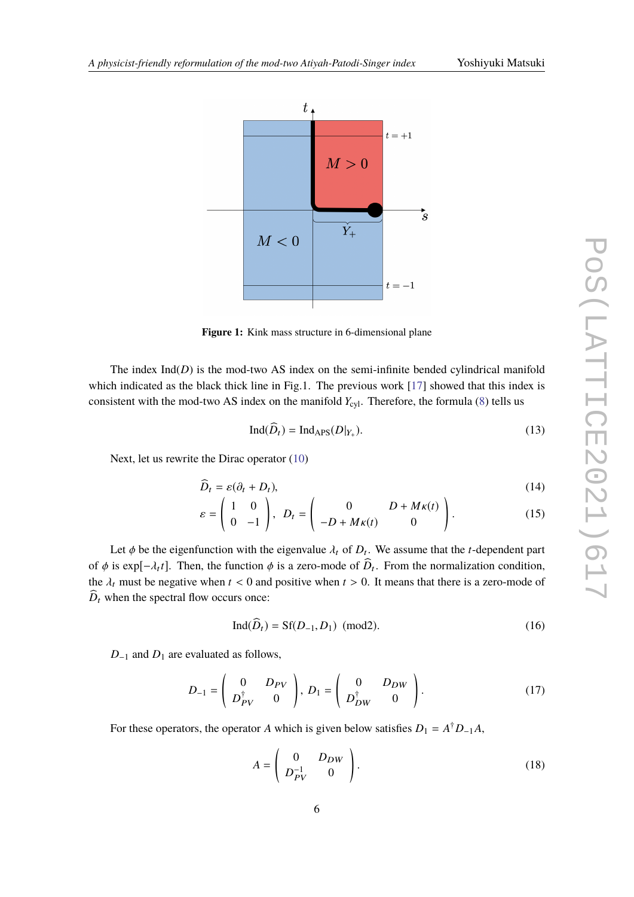

**Figure 1:** Kink mass structure in 6-dimensional plane

The index  $Ind(D)$  is the mod-two AS index on the semi-infinite bended cylindrical manifold which indicated as the black thick line in Fig.1. The previous work [17] showed that this index is consistent with the mod-two AS index on the manifold  $Y_{\text{cyl}}$ . Therefore, the formula (8) tells us

$$
Ind(Dt) = IndAPS(D|Y+).
$$
\n(13)

Next, let us rewrite the Dirac operator (10)

$$
\widehat{D}_t = \varepsilon (\partial_t + D_t), \tag{14}
$$

$$
\varepsilon = \begin{pmatrix} 1 & 0 \\ 0 & -1 \end{pmatrix}, \ D_t = \begin{pmatrix} 0 & D + M\kappa(t) \\ -D + M\kappa(t) & 0 \end{pmatrix}.
$$
 (15)

Let  $\phi$  be the eigenfunction with the eigenvalue  $\lambda_t$  of  $D_t$ . We assume that the *t*-dependent part of  $\phi$  is exp[ $-\lambda_t t$ ]. Then, the function  $\phi$  is a zero-mode of  $D_t$ . From the normalization condition, the  $\lambda_t$  must be negative when  $t < 0$  and positive when  $t > 0$ . It means that there is a zero-mode of  $\widehat{D}_t$  when the spectral flow occurs once:

$$
\text{Ind}(\widehat{D}_t) = \text{Sf}(D_{-1}, D_1) \text{ (mod2)}.
$$
 (16)

*D*<sup>−1</sup> and *D*<sup>1</sup> are evaluated as follows,

$$
D_{-1} = \begin{pmatrix} 0 & D_{PV} \\ D_{PV}^{\dagger} & 0 \end{pmatrix}, D_1 = \begin{pmatrix} 0 & D_{DW} \\ D_{DW}^{\dagger} & 0 \end{pmatrix}.
$$
 (17)

For these operators, the operator *A* which is given below satisfies  $D_1 = A^{\dagger} D_{-1} A$ ,

$$
A = \begin{pmatrix} 0 & D_{DW} \\ D_{PV}^{-1} & 0 \end{pmatrix}.
$$
 (18)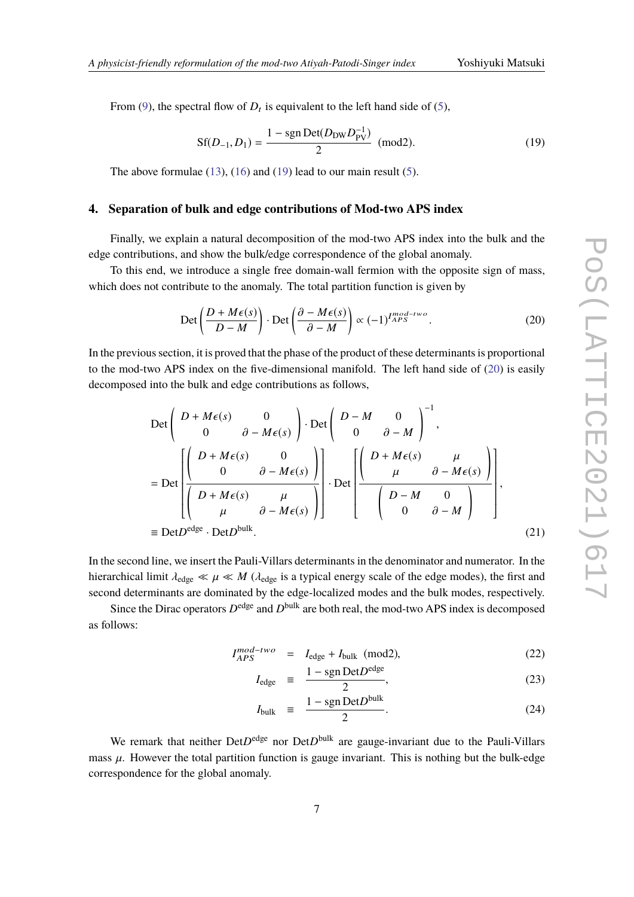From (9), the spectral flow of  $D_t$  is equivalent to the left hand side of (5),

$$
Sf(D_{-1}, D_1) = \frac{1 - sgn Det(D_{DW} D_{PV}^{-1})}{2} \text{ (mod2)}.
$$
 (19)

The above formulae  $(13)$ ,  $(16)$  and  $(19)$  lead to our main result  $(5)$ .

#### **4. Separation of bulk and edge contributions of Mod-two APS index**

Finally, we explain a natural decomposition of the mod-two APS index into the bulk and the edge contributions, and show the bulk/edge correspondence of the global anomaly.

To this end, we introduce a single free domain-wall fermion with the opposite sign of mass, which does not contribute to the anomaly. The total partition function is given by

$$
\text{Det}\left(\frac{D+M\epsilon(s)}{D-M}\right) \cdot \text{Det}\left(\frac{\partial - M\epsilon(s)}{\partial - M}\right) \propto (-1)^{I_{APS}^{mod-two}}.
$$
\n(20)

In the previous section, it is proved that the phase of the product of these determinants is proportional to the mod-two APS index on the five-dimensional manifold. The left hand side of (20) is easily decomposed into the bulk and edge contributions as follows,

$$
\begin{aligned}\n\text{Det}\left(\begin{array}{ccc} D + M\epsilon(s) & 0 \\ 0 & \partial - M\epsilon(s) \end{array}\right) & \text{Det}\left(\begin{array}{ccc} D - M & 0 \\ 0 & \partial - M \end{array}\right)^{-1}, \\
&= \text{Det}\left[\begin{array}{ccc} D + M\epsilon(s) & 0 \\ 0 & \partial - M\epsilon(s) \end{array}\right] & \text{Det}\left[\begin{array}{ccc} D + M\epsilon(s) & \mu \\ \mu & \partial - M\epsilon(s) \end{array}\right] \\
&= \text{Det}\left[\begin{array}{ccc} D + M\epsilon(s) & \mu \\ \mu & \partial - M\epsilon(s) \end{array}\right] & \text{Det}\left[\begin{array}{ccc} D - M & 0 \\ 0 & \partial - M \end{array}\right] & \text{set} \\
&= \text{Det}D^{\text{edge}} & \text{Det}D^{\text{bulk}}.\n\end{aligned}
$$
\n(21)

In the second line, we insert the Pauli-Villars determinants in the denominator and numerator. In the hierarchical limit  $\lambda_{\text{edge}} \ll \mu \ll M$  ( $\lambda_{\text{edge}}$  is a typical energy scale of the edge modes), the first and second determinants are dominated by the edge-localized modes and the bulk modes, respectively.

Since the Dirac operators  $D^{\text{edge}}$  and  $D^{\text{bulk}}$  are both real, the mod-two APS index is decomposed as follows:

$$
I_{APS}^{mod-two} = I_{edge} + I_{bulk} \text{ (mod2)},
$$
 (22)

$$
I_{\rm edge} \equiv \frac{1 - \text{sgn Det} D^{\text{edge}}}{2},\tag{23}
$$

$$
I_{\text{bulk}} \equiv \frac{1 - \text{sgn Det} D^{\text{bulk}}}{2}.
$$
 (24)

We remark that neither Det*D*<sup>edge</sup> nor Det*D*<sup>bulk</sup> are gauge-invariant due to the Pauli-Villars mass  $\mu$ . However the total partition function is gauge invariant. This is nothing but the bulk-edge correspondence for the global anomaly.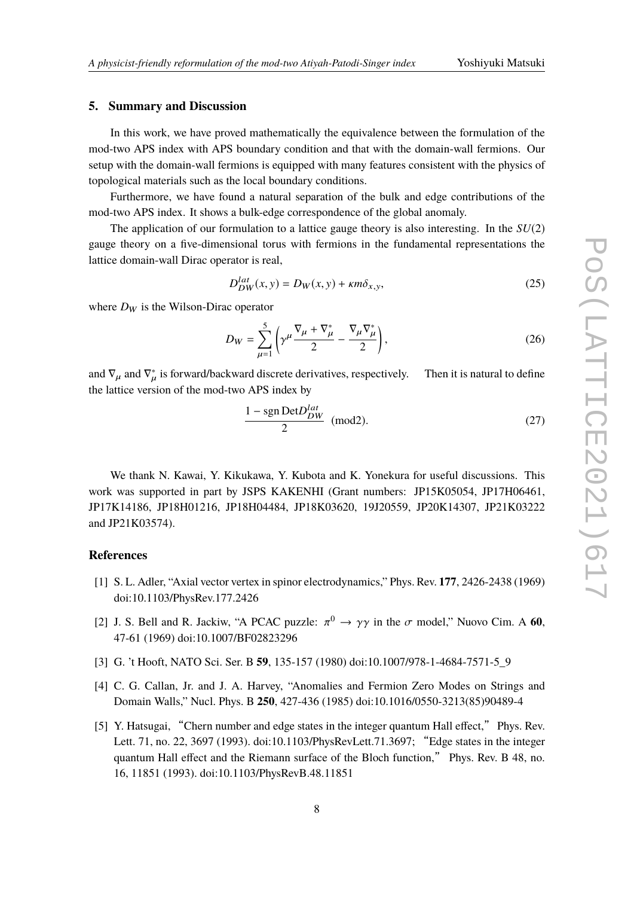#### **5. Summary and Discussion**

In this work, we have proved mathematically the equivalence between the formulation of the mod-two APS index with APS boundary condition and that with the domain-wall fermions. Our setup with the domain-wall fermions is equipped with many features consistent with the physics of topological materials such as the local boundary conditions.

Furthermore, we have found a natural separation of the bulk and edge contributions of the mod-two APS index. It shows a bulk-edge correspondence of the global anomaly.

The application of our formulation to a lattice gauge theory is also interesting. In the *SU*(2) gauge theory on a five-dimensional torus with fermions in the fundamental representations the lattice domain-wall Dirac operator is real,

$$
D_{DW}^{lat}(x, y) = D_W(x, y) + \kappa m \delta_{x, y},\tag{25}
$$

where  $D_W$  is the Wilson-Dirac operator

$$
D_W = \sum_{\mu=1}^5 \left( \gamma^\mu \frac{\nabla_\mu + \nabla_\mu^*}{2} - \frac{\nabla_\mu \nabla_\mu^*}{2} \right),\tag{26}
$$

and  $\nabla_{\mu}$  and  $\nabla_{\mu}^*$  is forward/backward discrete derivatives, respectively. Then it is natural to define the lattice version of the mod-two APS index by

$$
\frac{1 - \text{sgn Det} D_{DW}^{lat}}{2} \text{ (mod2)}.
$$
 (27)

We thank N. Kawai, Y. Kikukawa, Y. Kubota and K. Yonekura for useful discussions. This work was supported in part by JSPS KAKENHI (Grant numbers: JP15K05054, JP17H06461, JP17K14186, JP18H01216, JP18H04484, JP18K03620, 19J20559, JP20K14307, JP21K03222 and JP21K03574).

#### **References**

- [1] S. L. Adler, "Axial vector vertex in spinor electrodynamics," Phys. Rev. **177**, 2426-2438 (1969) doi:10.1103/PhysRev.177.2426
- [2] J. S. Bell and R. Jackiw, "A PCAC puzzle:  $\pi^0 \to \gamma \gamma$  in the  $\sigma$  model," Nuovo Cim. A 60, 47-61 (1969) doi:10.1007/BF02823296
- [3] G. 't Hooft, NATO Sci. Ser. B **59**, 135-157 (1980) doi:10.1007/978-1-4684-7571-5\_9
- [4] C. G. Callan, Jr. and J. A. Harvey, "Anomalies and Fermion Zero Modes on Strings and Domain Walls," Nucl. Phys. B **250**, 427-436 (1985) doi:10.1016/0550-3213(85)90489-4
- [5] Y. Hatsugai, "Chern number and edge states in the integer quantum Hall effect," Phys. Rev. Lett. 71, no. 22, 3697 (1993). doi:10.1103/PhysRevLett.71.3697; "Edge states in the integer quantum Hall effect and the Riemann surface of the Bloch function," Phys. Rev. B 48, no. 16, 11851 (1993). doi:10.1103/PhysRevB.48.11851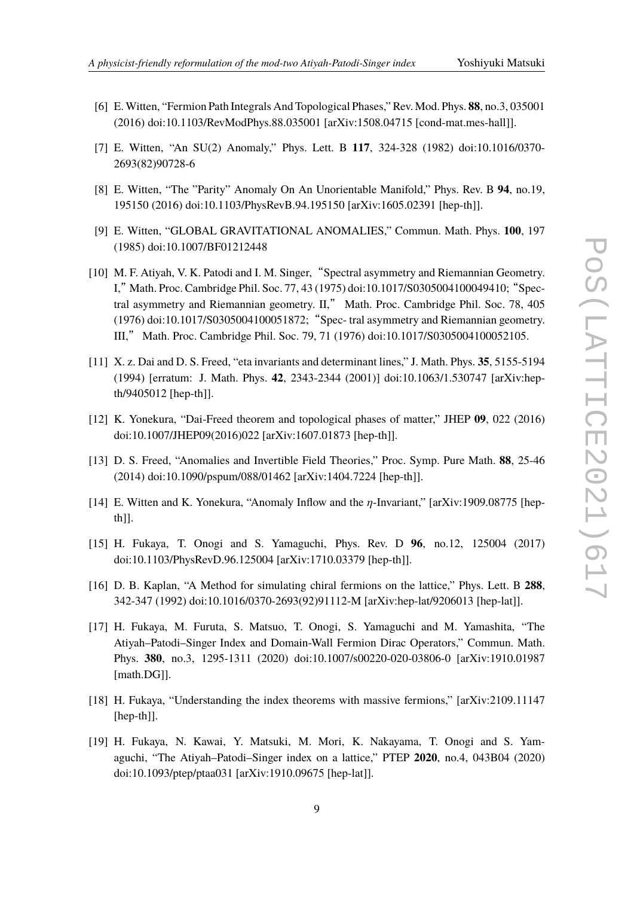- [6] E.Witten, "Fermion Path Integrals And Topological Phases," Rev. Mod. Phys. **88**, no.3, 035001 (2016) doi:10.1103/RevModPhys.88.035001 [arXiv:1508.04715 [cond-mat.mes-hall]].
- [7] E. Witten, "An SU(2) Anomaly," Phys. Lett. B **117**, 324-328 (1982) doi:10.1016/0370- 2693(82)90728-6
- [8] E. Witten, "The "Parity" Anomaly On An Unorientable Manifold," Phys. Rev. B **94**, no.19, 195150 (2016) doi:10.1103/PhysRevB.94.195150 [arXiv:1605.02391 [hep-th]].
- [9] E. Witten, "GLOBAL GRAVITATIONAL ANOMALIES," Commun. Math. Phys. **100**, 197 (1985) doi:10.1007/BF01212448
- [10] M. F. Atiyah, V. K. Patodi and I. M. Singer, "Spectral asymmetry and Riemannian Geometry. I,"Math. Proc. Cambridge Phil. Soc. 77, 43 (1975) doi:10.1017/S0305004100049410;"Spectral asymmetry and Riemannian geometry. II," Math. Proc. Cambridge Phil. Soc. 78, 405 (1976) doi:10.1017/S0305004100051872;"Spec- tral asymmetry and Riemannian geometry. III," Math. Proc. Cambridge Phil. Soc. 79, 71 (1976) doi:10.1017/S0305004100052105.
- [11] X. z. Dai and D. S. Freed, "eta invariants and determinant lines," J. Math. Phys. **35**, 5155-5194 (1994) [erratum: J. Math. Phys. **42**, 2343-2344 (2001)] doi:10.1063/1.530747 [arXiv:hepth/9405012 [hep-th]].
- [12] K. Yonekura, "Dai-Freed theorem and topological phases of matter," JHEP **09**, 022 (2016) doi:10.1007/JHEP09(2016)022 [arXiv:1607.01873 [hep-th]].
- [13] D. S. Freed, "Anomalies and Invertible Field Theories," Proc. Symp. Pure Math. **88**, 25-46 (2014) doi:10.1090/pspum/088/01462 [arXiv:1404.7224 [hep-th]].
- [14] E. Witten and K. Yonekura, "Anomaly Inflow and the  $\eta$ -Invariant," [arXiv:1909.08775 [hepth]].
- [15] H. Fukaya, T. Onogi and S. Yamaguchi, Phys. Rev. D **96**, no.12, 125004 (2017) doi:10.1103/PhysRevD.96.125004 [arXiv:1710.03379 [hep-th]].
- [16] D. B. Kaplan, "A Method for simulating chiral fermions on the lattice," Phys. Lett. B **288**, 342-347 (1992) doi:10.1016/0370-2693(92)91112-M [arXiv:hep-lat/9206013 [hep-lat]].
- [17] H. Fukaya, M. Furuta, S. Matsuo, T. Onogi, S. Yamaguchi and M. Yamashita, "The Atiyah–Patodi–Singer Index and Domain-Wall Fermion Dirac Operators," Commun. Math. Phys. **380**, no.3, 1295-1311 (2020) doi:10.1007/s00220-020-03806-0 [arXiv:1910.01987 [math.DG]].
- [18] H. Fukaya, "Understanding the index theorems with massive fermions," [arXiv:2109.11147 [hep-th]].
- [19] H. Fukaya, N. Kawai, Y. Matsuki, M. Mori, K. Nakayama, T. Onogi and S. Yamaguchi, "The Atiyah–Patodi–Singer index on a lattice," PTEP **2020**, no.4, 043B04 (2020) doi:10.1093/ptep/ptaa031 [arXiv:1910.09675 [hep-lat]].